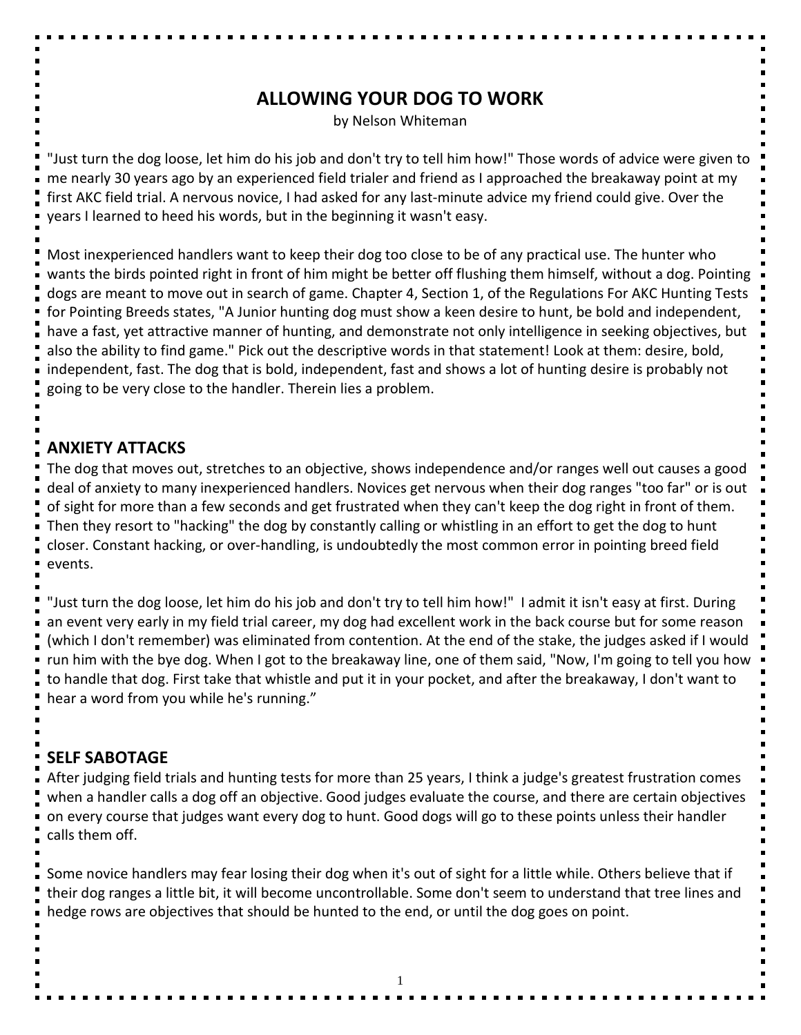## **ALLOWING YOUR DOG TO WORK**

by Nelson Whiteman

"Just turn the dog loose, let him do his job and don't try to tell him how!" Those words of advice were given to me nearly 30 years ago by an experienced field trialer and friend as I approached the breakaway point at my first AKC field trial. A nervous novice, I had asked for any last-minute advice my friend could give. Over the years I learned to heed his words, but in the beginning it wasn't easy.

Most inexperienced handlers want to keep their dog too close to be of any practical use. The hunter who wants the birds pointed right in front of him might be better off flushing them himself, without a dog. Pointing dogs are meant to move out in search of game. Chapter 4, Section 1, of the Regulations For AKC Hunting Tests for Pointing Breeds states, "A Junior hunting dog must show a keen desire to hunt, be bold and independent, have a fast, yet attractive manner of hunting, and demonstrate not only intelligence in seeking objectives, but also the ability to find game." Pick out the descriptive words in that statement! Look at them: desire, bold, independent, fast. The dog that is bold, independent, fast and shows a lot of hunting desire is probably not going to be very close to the handler. Therein lies a problem.

## **ANXIETY ATTACKS**

The dog that moves out, stretches to an objective, shows independence and/or ranges well out causes a good deal of anxiety to many inexperienced handlers. Novices get nervous when their dog ranges "too far" or is out of sight for more than a few seconds and get frustrated when they can't keep the dog right in front of them. Then they resort to "hacking" the dog by constantly calling or whistling in an effort to get the dog to hunt closer. Constant hacking, or over-handling, is undoubtedly the most common error in pointing breed field events.

"Just turn the dog loose, let him do his job and don't try to tell him how!" I admit it isn't easy at first. During an event very early in my field trial career, my dog had excellent work in the back course but for some reason (which I don't remember) was eliminated from contention. At the end of the stake, the judges asked if I would run him with the bye dog. When I got to the breakaway line, one of them said, "Now, I'm going to tell you how to handle that dog. First take that whistle and put it in your pocket, and after the breakaway, I don't want to hear a word from you while he's running."

## **SELF SABOTAGE**

After judging field trials and hunting tests for more than 25 years, I think a judge's greatest frustration comes when a handler calls a dog off an objective. Good judges evaluate the course, and there are certain objectives on every course that judges want every dog to hunt. Good dogs will go to these points unless their handler calls them off.

Some novice handlers may fear losing their dog when it's out of sight for a little while. Others believe that if their dog ranges a little bit, it will become uncontrollable. Some don't seem to understand that tree lines and hedge rows are objectives that should be hunted to the end, or until the dog goes on point.